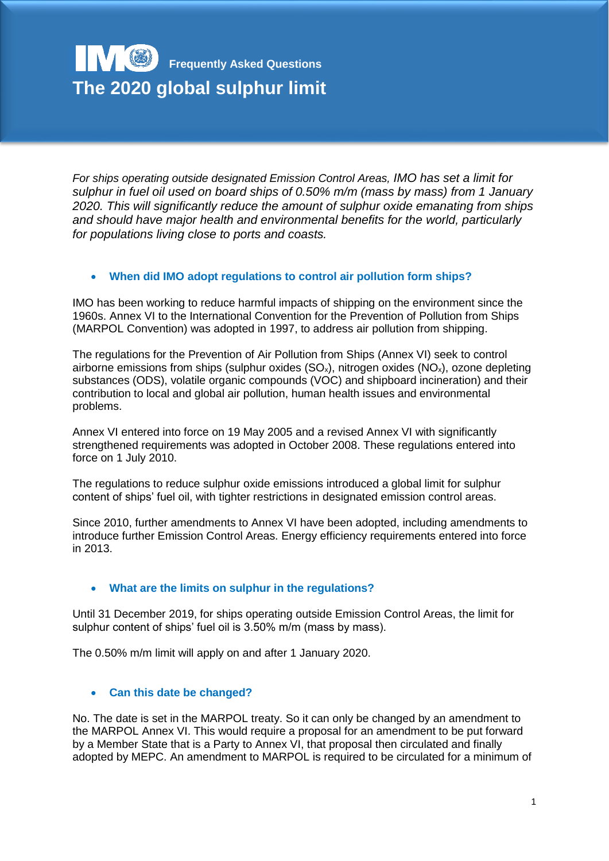# **Frequently Asked Questions The 2020 global sulphur limit**

*For ships operating outside designated Emission Control Areas, IMO has set a limit for sulphur in fuel oil used on board ships of 0.50% m/m (mass by mass) from 1 January 2020. This will significantly reduce the amount of sulphur oxide emanating from ships and should have major health and environmental benefits for the world, particularly for populations living close to ports and coasts.*

## **When did IMO adopt regulations to control air pollution form ships?**

IMO has been working to reduce harmful impacts of shipping on the environment since the 1960s. Annex VI to the International Convention for the Prevention of Pollution from Ships (MARPOL Convention) was adopted in 1997, to address air pollution from shipping.

The regulations for the Prevention of Air Pollution from Ships (Annex VI) seek to control airborne emissions from ships (sulphur oxides  $(SO_x)$ , nitrogen oxides  $(NO_x)$ , ozone depleting substances (ODS), volatile organic compounds (VOC) and shipboard incineration) and their contribution to local and global air pollution, human health issues and environmental problems.

Annex VI entered into force on 19 May 2005 and a revised Annex VI with significantly strengthened requirements was adopted in October 2008. These regulations entered into force on 1 July 2010.

The regulations to reduce sulphur oxide emissions introduced a global limit for sulphur content of ships' fuel oil, with tighter restrictions in designated emission control areas.

Since 2010, further amendments to Annex VI have been adopted, including amendments to introduce further Emission Control Areas. Energy efficiency requirements entered into force in 2013.

#### **What are the limits on sulphur in the regulations?**

Until 31 December 2019, for ships operating outside Emission Control Areas, the limit for sulphur content of ships' fuel oil is 3.50% m/m (mass by mass).

The 0.50% m/m limit will apply on and after 1 January 2020.

#### **Can this date be changed?**

No. The date is set in the MARPOL treaty. So it can only be changed by an amendment to the MARPOL Annex VI. This would require a proposal for an amendment to be put forward by a Member State that is a Party to Annex VI, that proposal then circulated and finally adopted by MEPC. An amendment to MARPOL is required to be circulated for a minimum of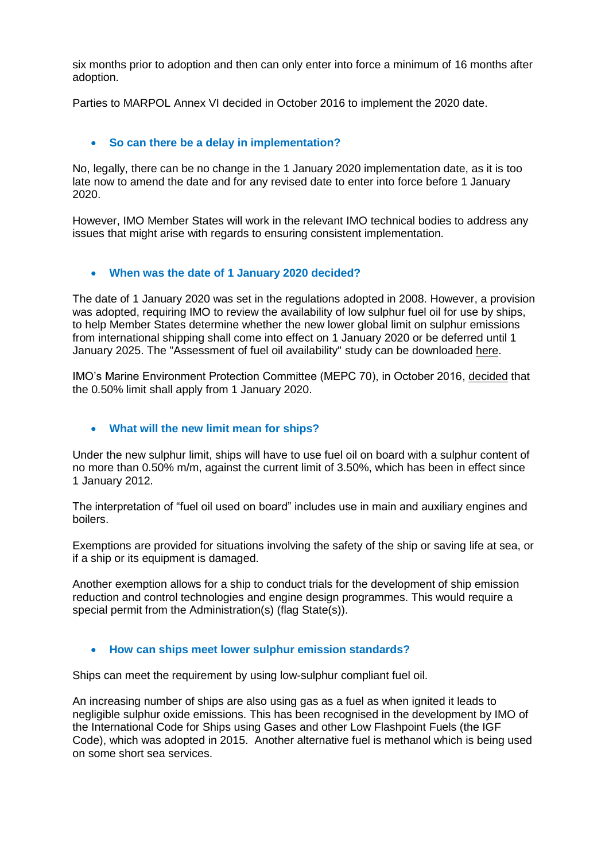six months prior to adoption and then can only enter into force a minimum of 16 months after adoption.

Parties to MARPOL Annex VI decided in October 2016 to implement the 2020 date.

## **So can there be a delay in implementation?**

No, legally, there can be no change in the 1 January 2020 implementation date, as it is too late now to amend the date and for any revised date to enter into force before 1 January 2020.

However, IMO Member States will work in the relevant IMO technical bodies to address any issues that might arise with regards to ensuring consistent implementation.

#### **When was the date of 1 January 2020 decided?**

The date of 1 January 2020 was set in the regulations adopted in 2008. However, a provision was adopted, requiring IMO to review the availability of low sulphur fuel oil for use by ships, to help Member States determine whether the new lower global limit on sulphur emissions from international shipping shall come into effect on 1 January 2020 or be deferred until 1 January 2025. The "Assessment of fuel oil availability" study can be downloaded [here.](http://www.imo.org/en/OurWork/Documents/MEPC%2070-INF.6%20-%20Assessment%20of%20fuel%20oil%20availability.pdf)

IMO's Marine Environment Protection Committee (MEPC 70), in October 2016, [decided](http://www.imo.org/en/MediaCentre/PressBriefings/Pages/MEPC-70-2020sulphur.aspx) that the 0.50% limit shall apply from 1 January 2020.

#### **What will the new limit mean for ships?**

Under the new sulphur limit, ships will have to use fuel oil on board with a sulphur content of no more than 0.50% m/m, against the current limit of 3.50%, which has been in effect since 1 January 2012.

The interpretation of "fuel oil used on board" includes use in main and auxiliary engines and boilers.

Exemptions are provided for situations involving the safety of the ship or saving life at sea, or if a ship or its equipment is damaged.

Another exemption allows for a ship to conduct trials for the development of ship emission reduction and control technologies and engine design programmes. This would require a special permit from the Administration(s) (flag State(s)).

#### **How can ships meet lower sulphur emission standards?**

Ships can meet the requirement by using low-sulphur compliant fuel oil.

An increasing number of ships are also using gas as a fuel as when ignited it leads to negligible sulphur oxide emissions. This has been recognised in the development by IMO of the International Code for Ships using Gases and other Low Flashpoint Fuels (the IGF Code), which was adopted in 2015. Another alternative fuel is methanol which is being used on some short sea services.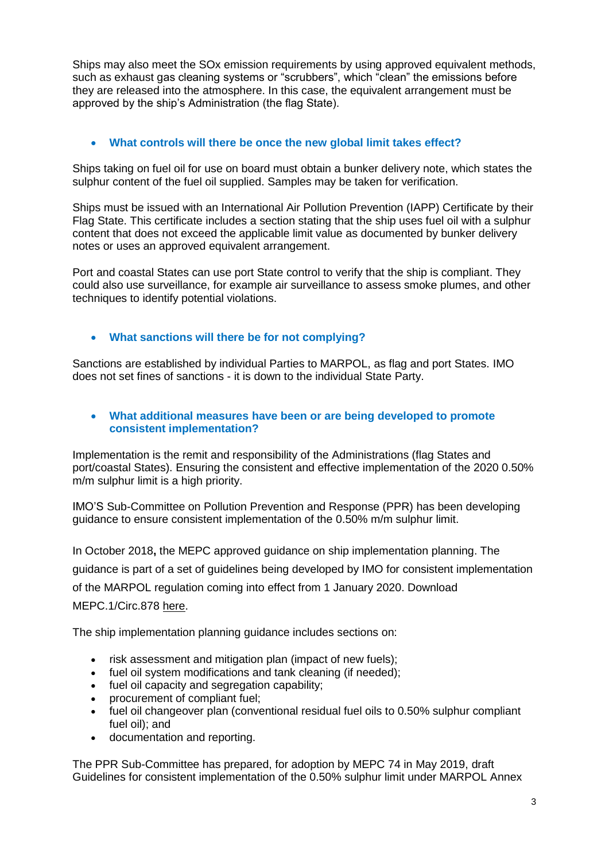Ships may also meet the SOx emission requirements by using approved equivalent methods, such as exhaust gas cleaning systems or "scrubbers", which "clean" the emissions before they are released into the atmosphere. In this case, the equivalent arrangement must be approved by the ship's Administration (the flag State).

# **What controls will there be once the new global limit takes effect?**

Ships taking on fuel oil for use on board must obtain a bunker delivery note, which states the sulphur content of the fuel oil supplied. Samples may be taken for verification.

Ships must be issued with an International Air Pollution Prevention (IAPP) Certificate by their Flag State. This certificate includes a section stating that the ship uses fuel oil with a sulphur content that does not exceed the applicable limit value as documented by bunker delivery notes or uses an approved equivalent arrangement.

Port and coastal States can use port State control to verify that the ship is compliant. They could also use surveillance, for example air surveillance to assess smoke plumes, and other techniques to identify potential violations.

# **What sanctions will there be for not complying?**

Sanctions are established by individual Parties to MARPOL, as flag and port States. IMO does not set fines of sanctions - it is down to the individual State Party.

#### **What additional measures have been or are being developed to promote consistent implementation?**

Implementation is the remit and responsibility of the Administrations (flag States and port/coastal States). Ensuring the consistent and effective implementation of the 2020 0.50% m/m sulphur limit is a high priority.

IMO'S Sub-Committee on Pollution Prevention and Response (PPR) has been developing guidance to ensure consistent implementation of the 0.50% m/m sulphur limit.

In October 2018**,** the MEPC approved guidance on ship implementation planning. The guidance is part of a set of guidelines being developed by IMO for consistent implementation of the MARPOL regulation coming into effect from 1 January 2020. Download MEPC.1/Circ.878 [here.](http://www.imo.org/en/OurWork/Environment/PollutionPrevention/Documents/MEPC.1-Circ.878.pdf)

The ship implementation planning guidance includes sections on:

- risk assessment and mitigation plan (impact of new fuels);
- fuel oil system modifications and tank cleaning (if needed);
- fuel oil capacity and segregation capability;
- procurement of compliant fuel;
- fuel oil changeover plan (conventional residual fuel oils to 0.50% sulphur compliant fuel oil); and
- documentation and reporting.

The PPR Sub-Committee has prepared, for adoption by MEPC 74 in May 2019, draft Guidelines for consistent implementation of the 0.50% sulphur limit under MARPOL Annex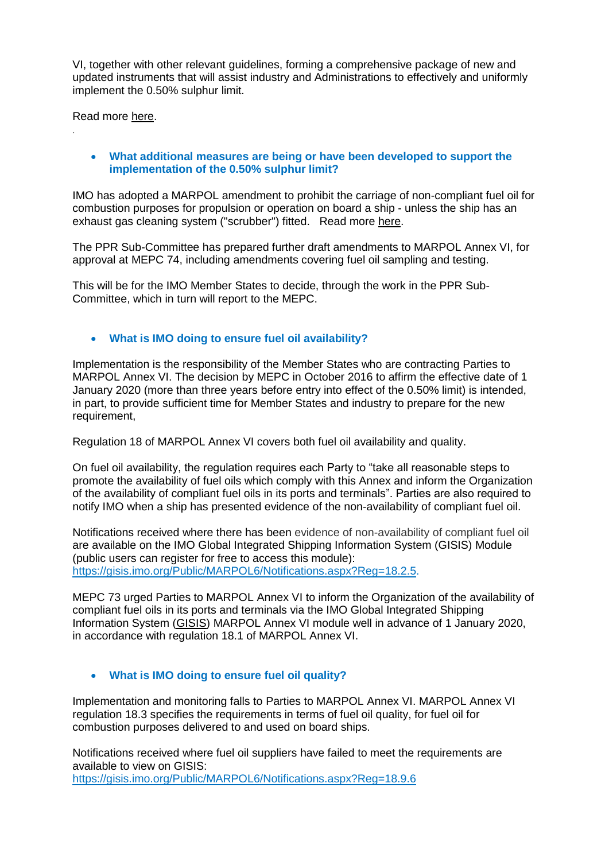VI, together with other relevant guidelines, forming a comprehensive package of new and updated instruments that will assist industry and Administrations to effectively and uniformly implement the 0.50% sulphur limit.

Read more [here.](http://www.imo.org/en/MediaCentre/MeetingSummaries/PPR/Pages/PPR-6th-Session.aspx)

.

## **What additional measures are being or have been developed to support the implementation of the 0.50% sulphur limit?**

IMO has adopted a MARPOL amendment to prohibit the carriage of non-compliant fuel oil for combustion purposes for propulsion or operation on board a ship - unless the ship has an exhaust gas cleaning system ("scrubber") fitted. Read more [here.](http://www.imo.org/en/MediaCentre/PressBriefings/Pages/19-Implementation-of-sulphur-2020-limit-.aspx)

The PPR Sub-Committee has prepared further draft amendments to MARPOL Annex VI, for approval at MEPC 74, including amendments covering fuel oil sampling and testing.

This will be for the IMO Member States to decide, through the work in the PPR Sub-Committee, which in turn will report to the MEPC.

#### **What is IMO doing to ensure fuel oil availability?**

Implementation is the responsibility of the Member States who are contracting Parties to MARPOL Annex VI. The decision by MEPC in October 2016 to affirm the effective date of 1 January 2020 (more than three years before entry into effect of the 0.50% limit) is intended, in part, to provide sufficient time for Member States and industry to prepare for the new requirement,

Regulation 18 of MARPOL Annex VI covers both fuel oil availability and quality.

On fuel oil availability, the regulation requires each Party to "take all reasonable steps to promote the availability of fuel oils which comply with this Annex and inform the Organization of the availability of compliant fuel oils in its ports and terminals". Parties are also required to notify IMO when a ship has presented evidence of the non-availability of compliant fuel oil.

Notifications received where there has been evidence of non-availability of compliant fuel oil are available on the IMO Global Integrated Shipping Information System (GISIS) Module (public users can register for free to access this module): [https://gisis.imo.org/Public/MARPOL6/Notifications.aspx?Reg=18.2.5.](https://gisis.imo.org/Public/MARPOL6/Notifications.aspx?Reg=18.2.5)

MEPC 73 urged Parties to MARPOL Annex VI to inform the Organization of the availability of compliant fuel oils in its ports and terminals via the IMO Global Integrated Shipping Information System [\(GISIS\)](https://gisis.imo.org/Public/MARPOL6/Default.aspx) MARPOL Annex VI module well in advance of 1 January 2020, in accordance with regulation 18.1 of MARPOL Annex VI.

#### **What is IMO doing to ensure fuel oil quality?**

Implementation and monitoring falls to Parties to MARPOL Annex VI. MARPOL Annex VI regulation 18.3 specifies the requirements in terms of fuel oil quality, for fuel oil for combustion purposes delivered to and used on board ships.

Notifications received where fuel oil suppliers have failed to meet the requirements are available to view on GISIS:

<https://gisis.imo.org/Public/MARPOL6/Notifications.aspx?Reg=18.9.6>